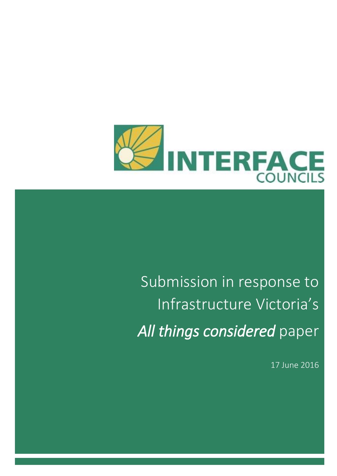

# Submission in response to Infrastructure Victoria's *All things considered* paper

17 June 2016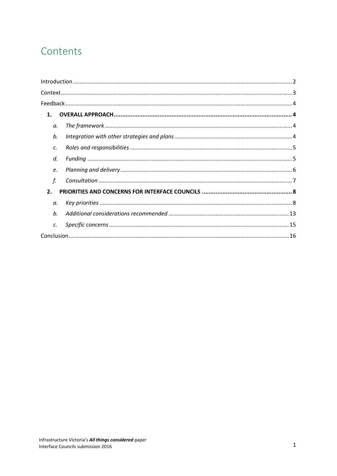# Contents

| 1. |  |
|----|--|
| a. |  |
| b. |  |
| C. |  |
| d. |  |
| e. |  |
| f. |  |
| 2. |  |
| а. |  |
| b. |  |
| C. |  |
|    |  |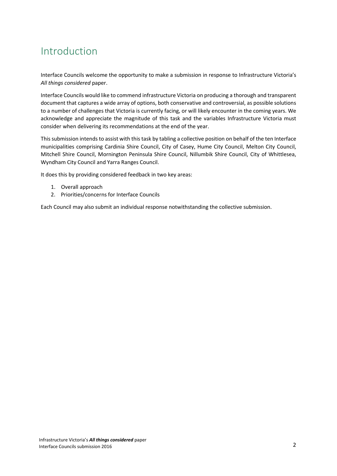# <span id="page-2-0"></span>Introduction

Interface Councils welcome the opportunity to make a submission in response to Infrastructure Victoria's *All things considered* paper.

Interface Councils would like to commend infrastructure Victoria on producing a thorough and transparent document that captures a wide array of options, both conservative and controversial, as possible solutions to a number of challenges that Victoria is currently facing, or will likely encounter in the coming years. We acknowledge and appreciate the magnitude of this task and the variables Infrastructure Victoria must consider when delivering its recommendations at the end of the year.

Thissubmission intends to assist with this task by tabling a collective position on behalf of the ten Interface municipalities comprising Cardinia Shire Council, City of Casey, Hume City Council, Melton City Council, Mitchell Shire Council, Mornington Peninsula Shire Council, Nillumbik Shire Council, City of Whittlesea, Wyndham City Council and Yarra Ranges Council.

It does this by providing considered feedback in two key areas:

- 1. Overall approach
- 2. Priorities/concerns for Interface Councils

Each Council may also submit an individual response notwithstanding the collective submission.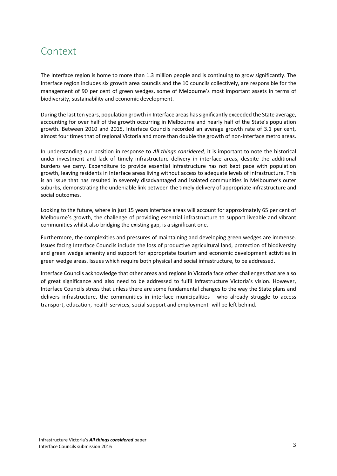### <span id="page-3-0"></span>**Context**

The Interface region is home to more than 1.3 million people and is continuing to grow significantly. The Interface region includes six growth area councils and the 10 councils collectively, are responsible for the management of 90 per cent of green wedges, some of Melbourne's most important assets in terms of biodiversity, sustainability and economic development.

During the last ten years, population growth in Interface areas has significantly exceeded the State average, accounting for over half of the growth occurring in Melbourne and nearly half of the State's population growth. Between 2010 and 2015, Interface Councils recorded an average growth rate of 3.1 per cent, almost four times that of regional Victoria and more than double the growth of non-Interface metro areas.

In understanding our position in response to *All things considered,* it is important to note the historical under-investment and lack of timely infrastructure delivery in interface areas, despite the additional burdens we carry. Expenditure to provide essential infrastructure has not kept pace with population growth, leaving residents in Interface areas living without access to adequate levels of infrastructure. This is an issue that has resulted in severely disadvantaged and isolated communities in Melbourne's outer suburbs, demonstrating the undeniable link between the timely delivery of appropriate infrastructure and social outcomes.

Looking to the future, where in just 15 years interface areas will account for approximately 65 per cent of Melbourne's growth, the challenge of providing essential infrastructure to support liveable and vibrant communities whilst also bridging the existing gap, is a significant one.

Furthermore, the complexities and pressures of maintaining and developing green wedges are immense. Issues facing Interface Councils include the loss of productive agricultural land, protection of biodiversity and green wedge amenity and support for appropriate tourism and economic development activities in green wedge areas. Issues which require both physical and social infrastructure, to be addressed.

Interface Councils acknowledge that other areas and regions in Victoria face other challenges that are also of great significance and also need to be addressed to fulfil Infrastructure Victoria's vision. However, Interface Councils stress that unless there are some fundamental changes to the way the State plans and delivers infrastructure, the communities in interface municipalities - who already struggle to access transport, education, health services, social support and employment- will be left behind.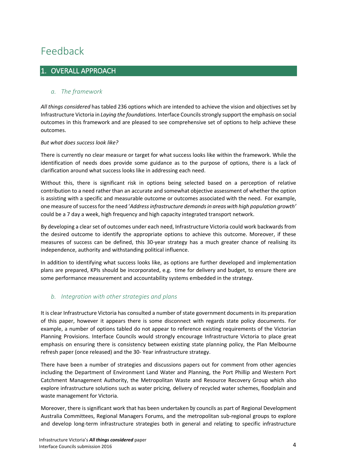# <span id="page-4-0"></span>Feedback

### <span id="page-4-1"></span>1. OVERALL APPROACH

#### <span id="page-4-2"></span>*a. The framework*

*All things considered* has tabled 236 options which are intended to achieve the vision and objectives set by Infrastructure Victoria in *Laying the foundations.* Interface Councils strongly support the emphasis on social outcomes in this framework and are pleased to see comprehensive set of options to help achieve these outcomes.

#### *But what does success look like?*

There is currently no clear measure or target for what success looks like within the framework. While the identification of needs does provide some guidance as to the purpose of options, there is a lack of clarification around what success looks like in addressing each need.

Without this, there is significant risk in options being selected based on a perception of relative contribution to a need rather than an accurate and somewhat objective assessment of whether the option is assisting with a specific and measurable outcome or outcomes associated with the need. For example, one measure of success for the need '*Address infrastructure demands in areas with high population growth'* could be a 7 day a week, high frequency and high capacity integrated transport network.

By developing a clear set of outcomes under each need, Infrastructure Victoria could work backwards from the desired outcome to identify the appropriate options to achieve this outcome. Moreover, if these measures of success can be defined, this 30-year strategy has a much greater chance of realising its independence, authority and withstanding political influence.

In addition to identifying what success looks like, as options are further developed and implementation plans are prepared, KPIs should be incorporated, e.g. time for delivery and budget, to ensure there are some performance measurement and accountability systems embedded in the strategy.

#### <span id="page-4-3"></span>*b. Integration with other strategies and plans*

It is clear Infrastructure Victoria has consulted a number of state government documents in its preparation of this paper, however it appears there is some disconnect with regards state policy documents. For example, a number of options tabled do not appear to reference existing requirements of the Victorian Planning Provisions. Interface Councils would strongly encourage Infrastructure Victoria to place great emphasis on ensuring there is consistency between existing state planning policy, the Plan Melbourne refresh paper (once released) and the 30- Year infrastructure strategy.

There have been a number of strategies and discussions papers out for comment from other agencies including the Department of Environment Land Water and Planning, the Port Phillip and Western Port Catchment Management Authority, the Metropolitan Waste and Resource Recovery Group which also explore infrastructure solutions such as water pricing, delivery of recycled water schemes, floodplain and waste management for Victoria.

Moreover, there is significant work that has been undertaken by councils as part of Regional Development Australia Committees, Regional Managers Forums, and the metropolitan sub-regional groups to explore and develop long-term infrastructure strategies both in general and relating to specific infrastructure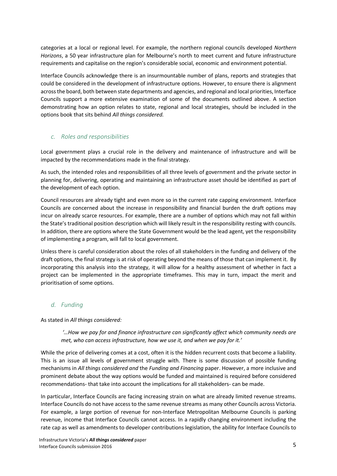categories at a local or regional level. For example, the northern regional councils developed *Northern Horizons*, a 50 year infrastructure plan for Melbourne's north to meet current and future infrastructure requirements and capitalise on the region's considerable social, economic and environment potential.

Interface Councils acknowledge there is an insurmountable number of plans, reports and strategies that could be considered in the development of infrastructure options. However, to ensure there is alignment across the board, both between state departments and agencies, and regional and local priorities, Interface Councils support a more extensive examination of some of the documents outlined above. A section demonstrating how an option relates to state, regional and local strategies, should be included in the options book that sits behind *All things considered.* 

#### <span id="page-5-0"></span>*c. Roles and responsibilities*

Local government plays a crucial role in the delivery and maintenance of infrastructure and will be impacted by the recommendations made in the final strategy.

As such, the intended roles and responsibilities of all three levels of government and the private sector in planning for, delivering, operating and maintaining an infrastructure asset should be identified as part of the development of each option.

Council resources are already tight and even more so in the current rate capping environment. Interface Councils are concerned about the increase in responsibility and financial burden the draft options may incur on already scarce resources. For example, there are a number of options which may not fall within the State's traditional position description which will likely result in the responsibility resting with councils. In addition, there are options where the State Government would be the lead agent, yet the responsibility of implementing a program, will fall to local government.

Unless there is careful consideration about the roles of all stakeholders in the funding and delivery of the draft options, the final strategy is at risk of operating beyond the means of those that can implement it. By incorporating this analysis into the strategy, it will allow for a healthy assessment of whether in fact a project can be implemented in the appropriate timeframes. This may in turn, impact the merit and prioritisation of some options.

#### <span id="page-5-1"></span>*d. Funding*

As stated in *All things considered:*

*'…How we pay for and finance infrastructure can significantly affect which community needs are met, who can access infrastructure, how we use it, and when we pay for it.'* 

While the price of delivering comes at a cost, often it is the hidden recurrent costs that become a liability. This is an issue all levels of government struggle with. There is some discussion of possible funding mechanisms in *All things considered and* the *Funding and Financing* paper. However, a more inclusive and prominent debate about the way options would be funded and maintained is required before considered recommendations- that take into account the implications for all stakeholders- can be made.

In particular, Interface Councils are facing increasing strain on what are already limited revenue streams. Interface Councils do not have access to the same revenue streams as many other Councils across Victoria. For example, a large portion of revenue for non-Interface Metropolitan Melbourne Councils is parking revenue, income that Interface Councils cannot access. In a rapidly changing environment including the rate cap as well as amendments to developer contributions legislation, the ability for Interface Councils to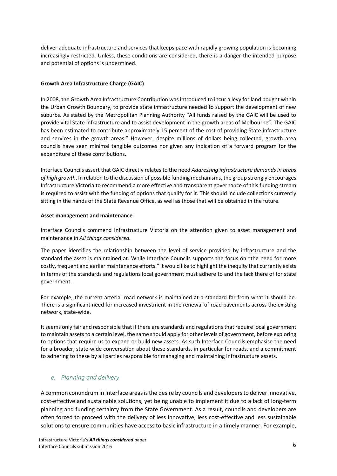deliver adequate infrastructure and services that keeps pace with rapidly growing population is becoming increasingly restricted. Unless, these conditions are considered, there is a danger the intended purpose and potential of options is undermined.

#### **Growth Area Infrastructure Charge (GAIC)**

In 2008, the Growth Area Infrastructure Contribution was introduced to incur a levy for land bought within the Urban Growth Boundary, to provide state infrastructure needed to support the development of new suburbs. As stated by the Metropolitan Planning Authority "All funds raised by the GAIC will be used to provide vital State infrastructure and to assist development in the growth areas of Melbourne". The GAIC has been estimated to contribute approximately 15 percent of the cost of providing State infrastructure and services in the growth areas." However, despite millions of dollars being collected, growth area councils have seen minimal tangible outcomes nor given any indication of a forward program for the expenditure of these contributions.

Interface Councils assert that GAIC directly relates to the need *Addressing infrastructure demands in areas of high growth*. In relation to the discussion of possible funding mechanisms, the group strongly encourages Infrastructure Victoria to recommend a more effective and transparent governance of this funding stream is required to assist with the funding of options that qualify for it. This should include collections currently sitting in the hands of the State Revenue Office, as well as those that will be obtained in the future.

#### **Asset management and maintenance**

Interface Councils commend Infrastructure Victoria on the attention given to asset management and maintenance in *All things considered.* 

The paper identifies the relationship between the level of service provided by infrastructure and the standard the asset is maintained at. While Interface Councils supports the focus on "the need for more costly, frequent and earlier maintenance efforts." it would like to highlight the inequity that currently exists in terms of the standards and regulations local government must adhere to and the lack there of for state government.

For example, the current arterial road network is maintained at a standard far from what it should be. There is a significant need for increased investment in the renewal of road pavements across the existing network, state-wide.

It seems only fair and responsible that if there are standards and regulations that require local government to maintain assets to a certain level, the same should apply for other levels of government, before exploring to options that require us to expand or build new assets. As such Interface Councils emphasise the need for a broader, state-wide conversation about these standards, in particular for roads, and a commitment to adhering to these by all parties responsible for managing and maintaining infrastructure assets.

#### <span id="page-6-0"></span>*e. Planning and delivery*

A common conundrum in Interface areas is the desire by councils and developers to deliver innovative, cost-effective and sustainable solutions, yet being unable to implement it due to a lack of long-term planning and funding certainty from the State Government. As a result, councils and developers are often forced to proceed with the delivery of less innovative, less cost-effective and less sustainable solutions to ensure communities have access to basic infrastructure in a timely manner. For example,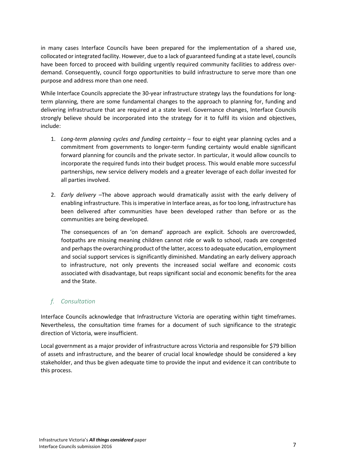in many cases Interface Councils have been prepared for the implementation of a shared use, collocated or integrated facility. However, due to a lack of guaranteed funding at a state level, councils have been forced to proceed with building urgently required community facilities to address overdemand. Consequently, council forgo opportunities to build infrastructure to serve more than one purpose and address more than one need.

While Interface Councils appreciate the 30-year infrastructure strategy lays the foundations for longterm planning, there are some fundamental changes to the approach to planning for, funding and delivering infrastructure that are required at a state level. Governance changes, Interface Councils strongly believe should be incorporated into the strategy for it to fulfil its vision and objectives, include:

- 1. *Long-term planning cycles and funding certainty –* four to eight year planning cycles and a commitment from governments to longer-term funding certainty would enable significant forward planning for councils and the private sector. In particular, it would allow councils to incorporate the required funds into their budget process. This would enable more successful partnerships, new service delivery models and a greater leverage of each dollar invested for all parties involved.
- 2. *Early delivery –*The above approach would dramatically assist with the early delivery of enabling infrastructure. This is imperative in Interface areas, as for too long, infrastructure has been delivered after communities have been developed rather than before or as the communities are being developed.

The consequences of an 'on demand' approach are explicit. Schools are overcrowded, footpaths are missing meaning children cannot ride or walk to school, roads are congested and perhaps the overarching product of the latter, access to adequate education, employment and social support services is significantly diminished. Mandating an early delivery approach to infrastructure, not only prevents the increased social welfare and economic costs associated with disadvantage, but reaps significant social and economic benefits for the area and the State.

#### <span id="page-7-0"></span>*f. Consultation*

Interface Councils acknowledge that Infrastructure Victoria are operating within tight timeframes. Nevertheless, the consultation time frames for a document of such significance to the strategic direction of Victoria, were insufficient.

Local government as a major provider of infrastructure across Victoria and responsible for \$79 billion of assets and infrastructure, and the bearer of crucial local knowledge should be considered a key stakeholder, and thus be given adequate time to provide the input and evidence it can contribute to this process.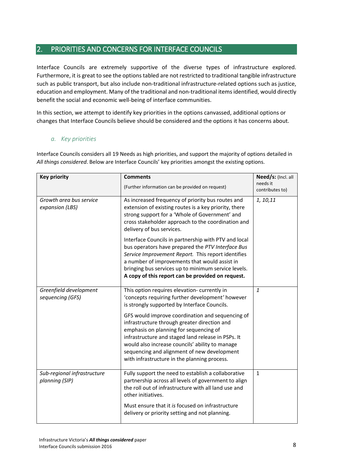### <span id="page-8-0"></span>2. PRIORITIES AND CONCERNS FOR INTERFACE COUNCILS

Interface Councils are extremely supportive of the diverse types of infrastructure explored. Furthermore, it is great to see the options tabled are not restricted to traditional tangible infrastructure such as public transport, but also include non-traditional infrastructure-related options such as justice, education and employment. Many of the traditional and non-traditional items identified, would directly benefit the social and economic well-being of interface communities.

In this section, we attempt to identify key priorities in the options canvassed, additional options or changes that Interface Councils believe should be considered and the options it has concerns about.

#### <span id="page-8-1"></span>*a. Key priorities*

Interface Councils considers all 19 Needs as high priorities, and support the majority of options detailed in *All things considered*. Below are Interface Councils' key priorities amongst the existing options.

| <b>Key priority</b>                           | <b>Comments</b><br>(Further information can be provided on request)                                                                                                                                                                                                                                                                                | Need/s: (Incl. all<br>needs it<br>contributes to) |
|-----------------------------------------------|----------------------------------------------------------------------------------------------------------------------------------------------------------------------------------------------------------------------------------------------------------------------------------------------------------------------------------------------------|---------------------------------------------------|
| Growth area bus service<br>expansion (LBS)    | As increased frequency of priority bus routes and<br>extension of existing routes is a key priority, there<br>strong support for a 'Whole of Government' and<br>cross stakeholder approach to the coordination and<br>delivery of bus services.                                                                                                    | 1, 10, 11                                         |
|                                               | Interface Councils in partnership with PTV and local<br>bus operators have prepared the PTV Interface Bus<br>Service Improvement Report. This report identifies<br>a number of improvements that would assist in<br>bringing bus services up to minimum service levels.<br>A copy of this report can be provided on request.                       |                                                   |
| Greenfield development<br>sequencing (GFS)    | This option requires elevation- currently in<br>'concepts requiring further development' however<br>is strongly supported by Interface Councils.                                                                                                                                                                                                   | $\mathbf{1}$                                      |
|                                               | GFS would improve coordination and sequencing of<br>infrastructure through greater direction and<br>emphasis on planning for sequencing of<br>infrastructure and staged land release in PSPs. It<br>would also increase councils' ability to manage<br>sequencing and alignment of new development<br>with infrastructure in the planning process. |                                                   |
| Sub-regional infrastructure<br>planning (SIP) | Fully support the need to establish a collaborative<br>partnership across all levels of government to align<br>the roll out of infrastructure with all land use and<br>other initiatives.                                                                                                                                                          | $\mathbf{1}$                                      |
|                                               | Must ensure that it is focused on infrastructure<br>delivery or priority setting and not planning.                                                                                                                                                                                                                                                 |                                                   |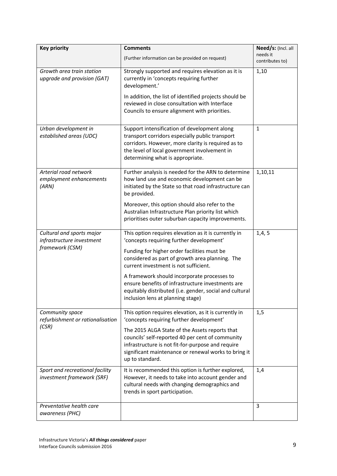| <b>Key priority</b>                                           | <b>Comments</b>                                                                                                                                                                                                                           | Need/s: (Incl. all          |
|---------------------------------------------------------------|-------------------------------------------------------------------------------------------------------------------------------------------------------------------------------------------------------------------------------------------|-----------------------------|
|                                                               | (Further information can be provided on request)                                                                                                                                                                                          | needs it<br>contributes to) |
| Growth area train station<br>upgrade and provision (GAT)      | Strongly supported and requires elevation as it is<br>currently in 'concepts requiring further<br>development.'                                                                                                                           | 1,10                        |
|                                                               | In addition, the list of identified projects should be<br>reviewed in close consultation with Interface<br>Councils to ensure alignment with priorities.                                                                                  |                             |
| Urban development in<br>established areas (UDC)               | Support intensification of development along<br>transport corridors especially public transport<br>corridors. However, more clarity is required as to<br>the level of local government involvement in<br>determining what is appropriate. | $\mathbf{1}$                |
| Arterial road network<br>employment enhancements<br>(ARN)     | Further analysis is needed for the ARN to determine<br>how land use and economic development can be<br>initiated by the State so that road infrastructure can<br>be provided.                                                             | 1,10,11                     |
|                                                               | Moreover, this option should also refer to the<br>Australian Infrastructure Plan priority list which<br>prioritises outer suburban capacity improvements.                                                                                 |                             |
| Cultural and sports major<br>infrastructure investment        | This option requires elevation as it is currently in<br>'concepts requiring further development'                                                                                                                                          | 1,4,5                       |
| framework (CSM)                                               | Funding for higher order facilities must be<br>considered as part of growth area planning. The<br>current investment is not sufficient.                                                                                                   |                             |
|                                                               | A framework should incorporate processes to<br>ensure benefits of infrastructure investments are<br>equitably distributed (i.e. gender, social and cultural<br>inclusion lens at planning stage)                                          |                             |
| Community space<br>refurbishment or rationalisation           | This option requires elevation, as it is currently in<br>'concepts requiring further development'                                                                                                                                         | 1,5                         |
| (CSR)                                                         | The 2015 ALGA State of the Assets reports that<br>councils' self-reported 40 per cent of community<br>infrastructure is not fit-for-purpose and require<br>significant maintenance or renewal works to bring it<br>up to standard.        |                             |
| Sport and recreational facility<br>investment framework (SRF) | It is recommended this option is further explored,<br>However, it needs to take into account gender and<br>cultural needs with changing demographics and<br>trends in sport participation.                                                | 1,4                         |
| Preventative health care<br>awareness (PHC)                   |                                                                                                                                                                                                                                           | 3                           |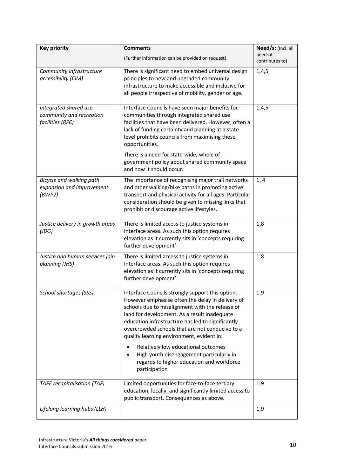| <b>Key priority</b>                                   | <b>Comments</b>                                                                                            | Need/s: (Incl. all          |
|-------------------------------------------------------|------------------------------------------------------------------------------------------------------------|-----------------------------|
|                                                       | (Further information can be provided on request)                                                           | needs it<br>contributes to) |
| Community infrastructure                              | There is significant need to embed universal design                                                        | 1,4,5                       |
| accessibility (CIM)                                   | principles to new and upgraded community<br>infrastructure to make accessible and inclusive for            |                             |
|                                                       | all people irrespective of mobility, gender or age.                                                        |                             |
|                                                       |                                                                                                            |                             |
| Integrated shared use                                 | Interface Councils have seen major benefits for                                                            | 1,4,5                       |
| community and recreation                              | communities through integrated shared use                                                                  |                             |
| facilities (RFC)                                      | facilities that have been delivered. However, often a<br>lack of funding certainty and planning at a state |                             |
|                                                       | level prohibits councils from maximising these                                                             |                             |
|                                                       | opportunities.                                                                                             |                             |
|                                                       | There is a need for state-wide, whole of                                                                   |                             |
|                                                       | government policy about shared community space<br>and how it should occur.                                 |                             |
|                                                       |                                                                                                            |                             |
| Bicycle and walking path<br>expansion and improvement | The importance of recognising major trail networks<br>and other walking/bike paths in promoting active     | 1, 4                        |
| (BWP2)                                                | transport and physical activity for all ages. Particular                                                   |                             |
|                                                       | consideration should be given to missing links that                                                        |                             |
|                                                       | prohibit or discourage active lifestyles.                                                                  |                             |
| Justice delivery in growth areas                      | There is limited access to justice systems in                                                              | 1,8                         |
| (JDG)                                                 | Interface areas. As such this option requires                                                              |                             |
|                                                       | elevation as it currently sits in 'concepts requiring<br>further development'                              |                             |
| Justice and human services join                       | There is limited access to justice systems in                                                              | 1,8                         |
| planning (JHS)                                        | Interface areas. As such this option requires                                                              |                             |
|                                                       | elevation as it currently sits in 'concepts requiring                                                      |                             |
|                                                       | further development'                                                                                       |                             |
| <b>School shortages (SSS)</b>                         | Interface Councils strongly support this option.                                                           | 1,9                         |
|                                                       | However emphasise often the delay in delivery of                                                           |                             |
|                                                       | schools due to misalignment with the release of<br>land for development. As a result inadequate            |                             |
|                                                       | education infrastructure has led to significantly                                                          |                             |
|                                                       | overcrowded schools that are not conducive to a                                                            |                             |
|                                                       | quality learning environment, evident in:                                                                  |                             |
|                                                       | Relatively low educational outcomes                                                                        |                             |
|                                                       | High youth disengagement particularly in<br>regards to higher education and workforce                      |                             |
|                                                       | participation                                                                                              |                             |
|                                                       |                                                                                                            |                             |
| <b>TAFE recapitalisation (TAF)</b>                    | Limited opportunities for face-to-face tertiary<br>education, locally, and significantly limited access to | 1,9                         |
|                                                       | public transport. Consequences as above.                                                                   |                             |
| Lifelong learning hubs (LLH)                          |                                                                                                            | 1,9                         |
|                                                       |                                                                                                            |                             |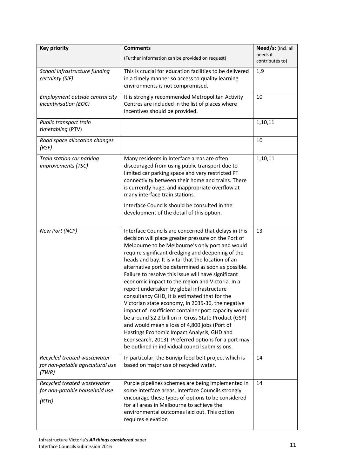| <b>Key priority</b>                                                      | <b>Comments</b>                                                                                                                                                                                                                                                                                                                                                                                                                                                                                                                                                                                                                                                                                                                                                                                                                                                                                                        | Need/s: (Incl. all          |
|--------------------------------------------------------------------------|------------------------------------------------------------------------------------------------------------------------------------------------------------------------------------------------------------------------------------------------------------------------------------------------------------------------------------------------------------------------------------------------------------------------------------------------------------------------------------------------------------------------------------------------------------------------------------------------------------------------------------------------------------------------------------------------------------------------------------------------------------------------------------------------------------------------------------------------------------------------------------------------------------------------|-----------------------------|
|                                                                          | (Further information can be provided on request)                                                                                                                                                                                                                                                                                                                                                                                                                                                                                                                                                                                                                                                                                                                                                                                                                                                                       | needs it<br>contributes to) |
| School infrastructure funding                                            | This is crucial for education facilities to be delivered                                                                                                                                                                                                                                                                                                                                                                                                                                                                                                                                                                                                                                                                                                                                                                                                                                                               | 1,9                         |
| certainty (SIF)                                                          | in a timely manner so access to quality learning<br>environments is not compromised.                                                                                                                                                                                                                                                                                                                                                                                                                                                                                                                                                                                                                                                                                                                                                                                                                                   |                             |
| Employment outside central city<br>incentivisation (EOC)                 | It is strongly recommended Metropolitan Activity<br>Centres are included in the list of places where<br>incentives should be provided.                                                                                                                                                                                                                                                                                                                                                                                                                                                                                                                                                                                                                                                                                                                                                                                 | 10                          |
| Public transport train<br>timetabling (PTV)                              |                                                                                                                                                                                                                                                                                                                                                                                                                                                                                                                                                                                                                                                                                                                                                                                                                                                                                                                        | 1,10,11                     |
| Road space allocation changes<br>(RSF)                                   |                                                                                                                                                                                                                                                                                                                                                                                                                                                                                                                                                                                                                                                                                                                                                                                                                                                                                                                        | 10                          |
| Train station car parking<br><i>improvements (TSC)</i>                   | Many residents in Interface areas are often<br>discouraged from using public transport due to<br>limited car parking space and very restricted PT<br>connectivity between their home and trains. There<br>is currently huge, and inappropriate overflow at<br>many interface train stations.<br>Interface Councils should be consulted in the                                                                                                                                                                                                                                                                                                                                                                                                                                                                                                                                                                          | 1,10,11                     |
|                                                                          | development of the detail of this option.                                                                                                                                                                                                                                                                                                                                                                                                                                                                                                                                                                                                                                                                                                                                                                                                                                                                              |                             |
| New Port (NCP)                                                           | Interface Councils are concerned that delays in this<br>decision will place greater pressure on the Port of<br>Melbourne to be Melbourne's only port and would<br>require significant dredging and deepening of the<br>heads and bay. It is vital that the location of an<br>alternative port be determined as soon as possible.<br>Failure to resolve this issue will have significant<br>economic impact to the region and Victoria. In a<br>report undertaken by global infrastructure<br>consultancy GHD, it is estimated that for the<br>Victorian state economy, in 2035-36, the negative<br>impact of insufficient container port capacity would<br>be around \$2.2 billion in Gross State Product (GSP)<br>and would mean a loss of 4,800 jobs (Port of<br>Hastings Economic Impact Analysis, GHD and<br>Econsearch, 2013). Preferred options for a port may<br>be outlined in individual council submissions. | 13                          |
| Recycled treated wastewater<br>for non-potable agricultural use<br>(TWR) | In particular, the Bunyip food belt project which is<br>based on major use of recycled water.                                                                                                                                                                                                                                                                                                                                                                                                                                                                                                                                                                                                                                                                                                                                                                                                                          | 14                          |
| Recycled treated wastewater<br>for non-potable household use<br>(RTH)    | Purple pipelines schemes are being implemented in<br>some interface areas. Interface Councils strongly<br>encourage these types of options to be considered<br>for all areas in Melbourne to achieve the<br>environmental outcomes laid out. This option<br>requires elevation                                                                                                                                                                                                                                                                                                                                                                                                                                                                                                                                                                                                                                         | 14                          |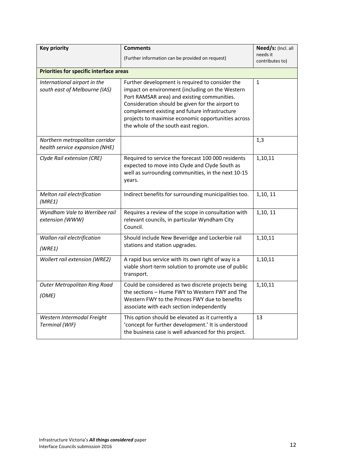| <b>Key priority</b>                                              | <b>Comments</b>                                                                                                                                                                                                                                                                                                                                     | Need/s: (Incl. all          |
|------------------------------------------------------------------|-----------------------------------------------------------------------------------------------------------------------------------------------------------------------------------------------------------------------------------------------------------------------------------------------------------------------------------------------------|-----------------------------|
|                                                                  | (Further information can be provided on request)                                                                                                                                                                                                                                                                                                    | needs it<br>contributes to) |
| <b>Priorities for specific interface areas</b>                   |                                                                                                                                                                                                                                                                                                                                                     |                             |
| International airport in the<br>south east of Melbourne (IAS)    | Further development is required to consider the<br>impact on environment (including on the Western<br>Port RAMSAR area) and existing communities.<br>Consideration should be given for the airport to<br>complement existing and future infrastructure<br>projects to maximise economic opportunities across<br>the whole of the south east region. | $\mathbf{1}$                |
| Northern metropolitan corridor<br>health service expansion (NHE) |                                                                                                                                                                                                                                                                                                                                                     | 1,3                         |
| Clyde Rail extension (CRE)                                       | Required to service the forecast 100 000 residents<br>expected to move into Clyde and Clyde South as<br>well as surrounding communities, in the next 10-15<br>years.                                                                                                                                                                                | 1,10,11                     |
| Melton rail electrification<br>(MRE1)                            | Indirect benefits for surrounding municipalities too.                                                                                                                                                                                                                                                                                               | 1,10, 11                    |
| Wyndham Vale to Werribee rail<br>extension (WWW)                 | Requires a review of the scope in consultation with<br>relevant councils, in particular Wyndham City<br>Council.                                                                                                                                                                                                                                    | 1,10, 11                    |
| Wallan rail electrification<br>(WRE1)                            | Should include New Beveridge and Lockerbie rail<br>stations and station upgrades.                                                                                                                                                                                                                                                                   | 1,10,11                     |
| Wollert rail extension (WRE2)                                    | A rapid bus service with its own right of way is a<br>viable short-term solution to promote use of public<br>transport.                                                                                                                                                                                                                             | 1,10,11                     |
| <b>Outer Metropolitan Ring Road</b><br>(OME)                     | Could be considered as two discrete projects being<br>the sections - Hume FWY to Western FWY and The<br>Western FWY to the Princes FWY due to benefits<br>associate with each section independently                                                                                                                                                 | 1,10,11                     |
| Western Intermodal Freight<br>Terminal (WIF)                     | This option should be elevated as it currently a<br>'concept for further development.' It is understood<br>the business case is well advanced for this project.                                                                                                                                                                                     | 13                          |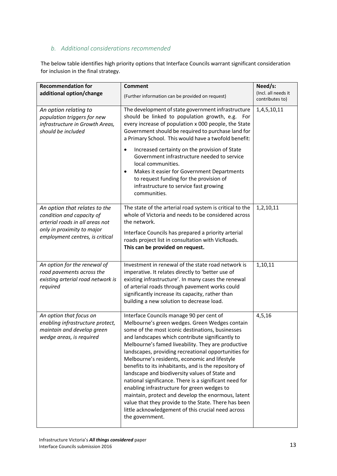#### <span id="page-13-0"></span>*b. Additional considerations recommended*

The below table identifies high priority options that Interface Councils warrant significant consideration for inclusion in the final strategy.

| <b>Recommendation for</b>                                                                                                                                      | <b>Comment</b>                                                                                                                                                                                                                                                                                                                                                                                                                                                                                                                                                                                                                                                                                                                                                               | Need/s:                                |
|----------------------------------------------------------------------------------------------------------------------------------------------------------------|------------------------------------------------------------------------------------------------------------------------------------------------------------------------------------------------------------------------------------------------------------------------------------------------------------------------------------------------------------------------------------------------------------------------------------------------------------------------------------------------------------------------------------------------------------------------------------------------------------------------------------------------------------------------------------------------------------------------------------------------------------------------------|----------------------------------------|
| additional option/change                                                                                                                                       | (Further information can be provided on request)                                                                                                                                                                                                                                                                                                                                                                                                                                                                                                                                                                                                                                                                                                                             | (Incl. all needs it<br>contributes to) |
| An option relating to<br>population triggers for new<br>infrastructure in Growth Areas,<br>should be included                                                  | The development of state government infrastructure<br>should be linked to population growth, e.g.<br>For<br>every increase of population x 000 people, the State<br>Government should be required to purchase land for<br>a Primary School. This would have a twofold benefit:                                                                                                                                                                                                                                                                                                                                                                                                                                                                                               | 1,4,5,10,11                            |
|                                                                                                                                                                | Increased certainty on the provision of State<br>٠<br>Government infrastructure needed to service<br>local communities.<br>Makes it easier for Government Departments<br>$\bullet$<br>to request funding for the provision of<br>infrastructure to service fast growing<br>communities.                                                                                                                                                                                                                                                                                                                                                                                                                                                                                      |                                        |
| An option that relates to the<br>condition and capacity of<br>arterial roads in all areas not<br>only in proximity to major<br>employment centres, is critical | The state of the arterial road system is critical to the<br>whole of Victoria and needs to be considered across<br>the network.<br>Interface Councils has prepared a priority arterial<br>roads project list in consultation with VicRoads.<br>This can be provided on request.                                                                                                                                                                                                                                                                                                                                                                                                                                                                                              | 1,2,10,11                              |
| An option for the renewal of<br>road pavements across the<br>existing arterial road network is<br>required                                                     | Investment in renewal of the state road network is<br>imperative. It relates directly to 'better use of<br>existing infrastructure'. In many cases the renewal<br>of arterial roads through pavement works could<br>significantly increase its capacity, rather than<br>building a new solution to decrease load.                                                                                                                                                                                                                                                                                                                                                                                                                                                            | 1,10,11                                |
| An option that focus on<br>enabling infrastructure protect,<br>maintain and develop green<br>wedge areas, is required                                          | Interface Councils manage 90 per cent of<br>Melbourne's green wedges. Green Wedges contain<br>some of the most iconic destinations, businesses<br>and landscapes which contribute significantly to<br>Melbourne's famed liveability. They are productive<br>landscapes, providing recreational opportunities for<br>Melbourne's residents, economic and lifestyle<br>benefits to its inhabitants, and is the repository of<br>landscape and biodiversity values of State and<br>national significance. There is a significant need for<br>enabling infrastructure for green wedges to<br>maintain, protect and develop the enormous, latent<br>value that they provide to the State. There has been<br>little acknowledgement of this crucial need across<br>the government. | 4, 5, 16                               |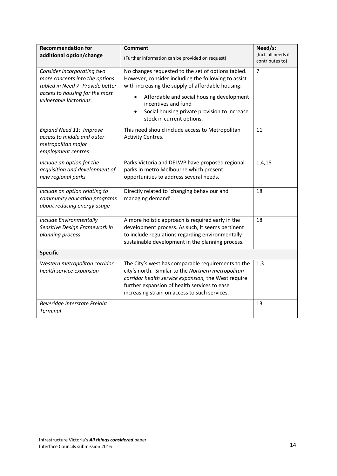| <b>Recommendation for</b>                                                                                                                                    | <b>Comment</b>                                                                                                                                                                                                                                                                                                               | Need/s:<br>(Incl. all needs it |
|--------------------------------------------------------------------------------------------------------------------------------------------------------------|------------------------------------------------------------------------------------------------------------------------------------------------------------------------------------------------------------------------------------------------------------------------------------------------------------------------------|--------------------------------|
| additional option/change                                                                                                                                     | (Further information can be provided on request)                                                                                                                                                                                                                                                                             | contributes to)                |
| Consider incorporating two<br>more concepts into the options<br>tabled in Need 7- Provide better<br>access to housing for the most<br>vulnerable Victorians. | No changes requested to the set of options tabled.<br>However, consider including the following to assist<br>with increasing the supply of affordable housing:<br>Affordable and social housing development<br>$\bullet$<br>incentives and fund<br>Social housing private provision to increase<br>stock in current options. | $\overline{7}$                 |
| Expand Need 11: Improve<br>access to middle and outer<br>metropolitan major<br>employment centres                                                            | This need should include access to Metropolitan<br>Activity Centres.                                                                                                                                                                                                                                                         | 11                             |
| Include an option for the<br>acquisition and development of<br>new regional parks                                                                            | Parks Victoria and DELWP have proposed regional<br>parks in metro Melbourne which present<br>opportunities to address several needs.                                                                                                                                                                                         | 1,4,16                         |
| Include an option relating to<br>community education programs<br>about reducing energy usage                                                                 | Directly related to 'changing behaviour and<br>managing demand'.                                                                                                                                                                                                                                                             | 18                             |
| Include Environmentally<br>Sensitive Design Framework in<br>planning process                                                                                 | A more holistic approach is required early in the<br>development process. As such, it seems pertinent<br>to include regulations regarding environmentally<br>sustainable development in the planning process.                                                                                                                | 18                             |
| <b>Specific</b>                                                                                                                                              |                                                                                                                                                                                                                                                                                                                              |                                |
| Western metropolitan corridor<br>health service expansion                                                                                                    | The City's west has comparable requirements to the<br>city's north. Similar to the Northern metropolitan<br>corridor health service expansion, the West require<br>further expansion of health services to ease<br>increasing strain on access to such services.                                                             | 1,3                            |
| Beveridge Interstate Freight<br><b>Terminal</b>                                                                                                              |                                                                                                                                                                                                                                                                                                                              | 13                             |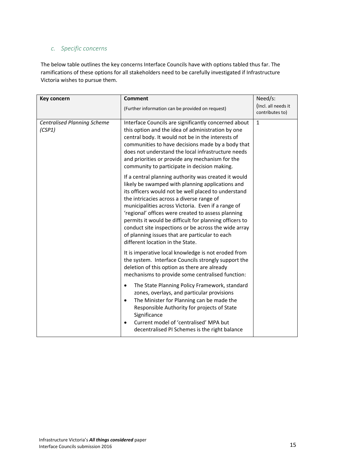### <span id="page-15-0"></span>*c. Specific concerns*

The below table outlines the key concerns Interface Councils have with options tabled thus far. The ramifications of these options for all stakeholders need to be carefully investigated if Infrastructure Victoria wishes to pursue them.

| Key concern                                  | <b>Comment</b>                                                                                                                                                                                                                                                                                                                                                                                                                                                                                                                   | Need/s:                                |
|----------------------------------------------|----------------------------------------------------------------------------------------------------------------------------------------------------------------------------------------------------------------------------------------------------------------------------------------------------------------------------------------------------------------------------------------------------------------------------------------------------------------------------------------------------------------------------------|----------------------------------------|
|                                              | (Further information can be provided on request)                                                                                                                                                                                                                                                                                                                                                                                                                                                                                 | (Incl. all needs it<br>contributes to) |
| <b>Centralised Planning Scheme</b><br>(CSP1) | Interface Councils are significantly concerned about<br>this option and the idea of administration by one<br>central body. It would not be in the interests of<br>communities to have decisions made by a body that<br>does not understand the local infrastructure needs<br>and priorities or provide any mechanism for the<br>community to participate in decision making.                                                                                                                                                     | $\mathbf{1}$                           |
|                                              | If a central planning authority was created it would<br>likely be swamped with planning applications and<br>its officers would not be well placed to understand<br>the intricacies across a diverse range of<br>municipalities across Victoria. Even if a range of<br>'regional' offices were created to assess planning<br>permits it would be difficult for planning officers to<br>conduct site inspections or be across the wide array<br>of planning issues that are particular to each<br>different location in the State. |                                        |
|                                              | It is imperative local knowledge is not eroded from<br>the system. Interface Councils strongly support the<br>deletion of this option as there are already<br>mechanisms to provide some centralised function:                                                                                                                                                                                                                                                                                                                   |                                        |
|                                              | The State Planning Policy Framework, standard<br>$\bullet$<br>zones, overlays, and particular provisions<br>The Minister for Planning can be made the<br>٠<br>Responsible Authority for projects of State<br>Significance<br>Current model of 'centralised' MPA but<br>decentralised PI Schemes is the right balance                                                                                                                                                                                                             |                                        |